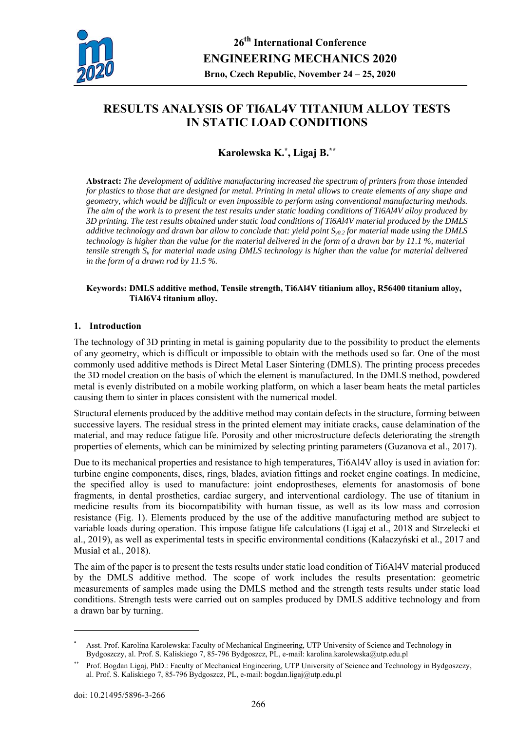

# **RESULTS ANALYSIS OF TI6AL4V TITANIUM ALLOY TESTS IN STATIC LOAD CONDITIONS**

## **Karolewska K.\*, Ligaj B.\*\***

**Abstract:** *The development of additive manufacturing increased the spectrum of printers from those intended for plastics to those that are designed for metal. Printing in metal allows to create elements of any shape and geometry, which would be difficult or even impossible to perform using conventional manufacturing methods. The aim of the work is to present the test results under static loading conditions of Ti6Al4V alloy produced by 3D printing. The test results obtained under static load conditions of Ti6Al4V material produced by the DMLS additive technology and drawn bar allow to conclude that: yield point Sy0.2 for material made using the DMLS technology is higher than the value for the material delivered in the form of a drawn bar by 11.1 %, material tensile strength Su for material made using DMLS technology is higher than the value for material delivered in the form of a drawn rod by 11.5 %.* 

#### **Keywords: DMLS additive method, Tensile strength, Ti6Al4V titianium alloy, R56400 titanium alloy, TiAl6V4 titanium alloy.**

#### **1. Introduction**

The technology of 3D printing in metal is gaining popularity due to the possibility to product the elements of any geometry, which is difficult or impossible to obtain with the methods used so far. One of the most commonly used additive methods is Direct Metal Laser Sintering (DMLS). The printing process precedes the 3D model creation on the basis of which the element is manufactured. In the DMLS method, powdered metal is evenly distributed on a mobile working platform, on which a laser beam heats the metal particles causing them to sinter in places consistent with the numerical model.

Structural elements produced by the additive method may contain defects in the structure, forming between successive layers. The residual stress in the printed element may initiate cracks, cause delamination of the material, and may reduce fatigue life. Porosity and other microstructure defects deteriorating the strength properties of elements, which can be minimized by selecting printing parameters (Guzanova et al., 2017).

Due to its mechanical properties and resistance to high temperatures, Ti6Al4V alloy is used in aviation for: turbine engine components, discs, rings, blades, aviation fittings and rocket engine coatings. In medicine, the specified alloy is used to manufacture: joint endoprostheses, elements for anastomosis of bone fragments, in dental prosthetics, cardiac surgery, and interventional cardiology. The use of titanium in medicine results from its biocompatibility with human tissue, as well as its low mass and corrosion resistance (Fig. 1). Elements produced by the use of the additive manufacturing method are subject to variable loads during operation. This impose fatigue life calculations (Ligaj et al., 2018 and Strzelecki et al., 2019), as well as experimental tests in specific environmental conditions (Kałaczyński et al., 2017 and Musiał et al., 2018).

The aim of the paper is to present the tests results under static load condition of Ti6Al4V material produced by the DMLS additive method. The scope of work includes the results presentation: geometric measurements of samples made using the DMLS method and the strength tests results under static load conditions. Strength tests were carried out on samples produced by DMLS additive technology and from a drawn bar by turning.

<u>.</u>

Asst. Prof. Karolina Karolewska: Faculty of Mechanical Engineering, UTP University of Science and Technology in Bydgoszczy, al. Prof. S. Kaliskiego 7, 85-796 Bydgoszcz, PL, e-mail: karolina.karolewska@utp.edu.pl

<sup>\*\*</sup> Prof. Bogdan Ligaj, PhD.: Faculty of Mechanical Engineering, UTP University of Science and Technology in Bydgoszczy, al. Prof. S. Kaliskiego 7, 85-796 Bydgoszcz, PL, e-mail: bogdan.ligaj@utp.edu.pl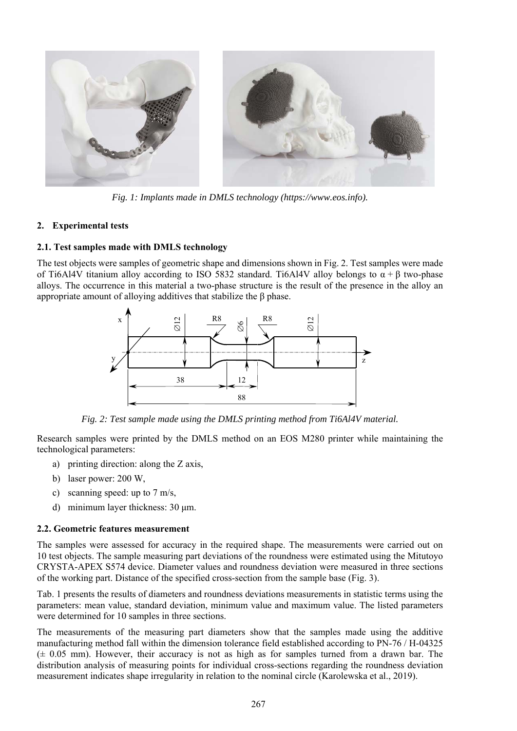

*Fig. 1: Implants made in DMLS technology (https://www.eos.info).* 

## **2. Experimental tests**

## **2.1. Test samples made with DMLS technology**

The test objects were samples of geometric shape and dimensions shown in Fig. 2. Test samples were made of Ti6Al4V titanium alloy according to ISO 5832 standard. Ti6Al4V alloy belongs to  $\alpha + \beta$  two-phase alloys. The occurrence in this material a two-phase structure is the result of the presence in the alloy an appropriate amount of alloying additives that stabilize the β phase.



*Fig. 2: Test sample made using the DMLS printing method from Ti6Al4V material.* 

Research samples were printed by the DMLS method on an EOS M280 printer while maintaining the technological parameters:

- a) printing direction: along the Z axis,
- b) laser power: 200 W,
- c) scanning speed: up to 7 m/s,
- d) minimum layer thickness: 30 μm.

#### **2.2. Geometric features measurement**

The samples were assessed for accuracy in the required shape. The measurements were carried out on 10 test objects. The sample measuring part deviations of the roundness were estimated using the Mitutoyo CRYSTA-APEX S574 device. Diameter values and roundness deviation were measured in three sections of the working part. Distance of the specified cross-section from the sample base (Fig. 3).

Tab. 1 presents the results of diameters and roundness deviations measurements in statistic terms using the parameters: mean value, standard deviation, minimum value and maximum value. The listed parameters were determined for 10 samples in three sections.

The measurements of the measuring part diameters show that the samples made using the additive manufacturing method fall within the dimension tolerance field established according to PN-76 / H-04325  $(± 0.05 mm)$ . However, their accuracy is not as high as for samples turned from a drawn bar. The distribution analysis of measuring points for individual cross-sections regarding the roundness deviation measurement indicates shape irregularity in relation to the nominal circle (Karolewska et al., 2019).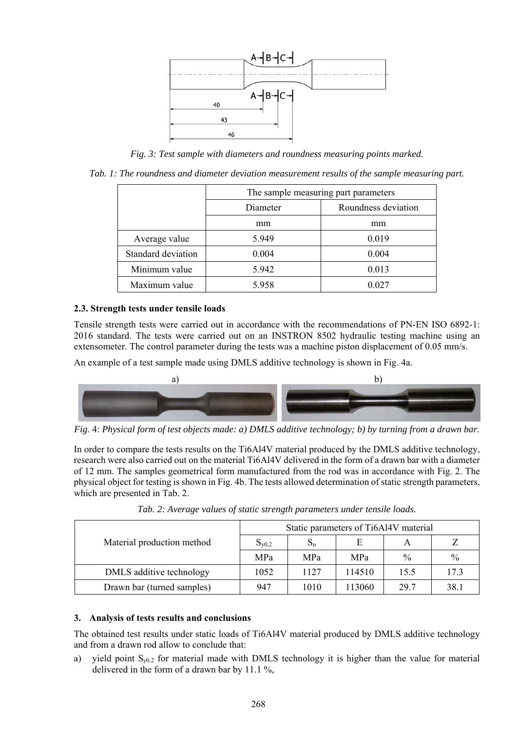

*Fig. 3: Test sample with diameters and roundness measuring points marked.* 

*Tab. 1: The roundness and diameter deviation measurement results of the sample measuring part.* 

|                    | The sample measuring part parameters |                     |  |  |  |
|--------------------|--------------------------------------|---------------------|--|--|--|
|                    | Diameter                             | Roundness deviation |  |  |  |
|                    | mm                                   | mm                  |  |  |  |
| Average value      | 5.949                                | 0.019               |  |  |  |
| Standard deviation | 0.004                                | 0.004               |  |  |  |
| Minimum value      | 5.942                                | 0.013               |  |  |  |
| Maximum value      | 5.958                                | 0.027               |  |  |  |

## **2.3. Strength tests under tensile loads**

Tensile strength tests were carried out in accordance with the recommendations of PN-EN ISO 6892-1: 2016 standard. The tests were carried out on an INSTRON 8502 hydraulic testing machine using an extensometer. The control parameter during the tests was a machine piston displacement of 0.05 mm/s.

An example of a test sample made using DMLS additive technology is shown in Fig. 4a.



*Fig.* 4: *Physical form of test objects made: a) DMLS additive technology; b) by turning from a drawn bar.* 

In order to compare the tests results on the Ti6Al4V material produced by the DMLS additive technology, research were also carried out on the material Ti6Al4V delivered in the form of a drawn bar with a diameter of 12 mm. The samples geometrical form manufactured from the rod was in accordance with Fig. 2. The physical object for testing is shown in Fig. 4b. The tests allowed determination of static strength parameters, which are presented in Tab. 2.

|                            | Static parameters of Ti6Al4V material |            |            |               |               |
|----------------------------|---------------------------------------|------------|------------|---------------|---------------|
| Material production method | $S_{v0,2}$                            | $S_{u}$    | E          |               |               |
|                            | <b>MPa</b>                            | <b>MPa</b> | <b>MPa</b> | $\frac{0}{0}$ | $\frac{0}{0}$ |
| DMLS additive technology   | 1052                                  | 1127       | 114510     | 15.5          | 17.3          |
| Drawn bar (turned samples) | 947                                   | 1010       | 113060     | 29.7          | 38.1          |

*Tab. 2: Average values of static strength parameters under tensile loads.* 

## **3. Analysis of tests results and conclusions**

The obtained test results under static loads of Ti6Al4V material produced by DMLS additive technology and from a drawn rod allow to conclude that:

a) yield point  $S_{y0.2}$  for material made with DMLS technology it is higher than the value for material delivered in the form of a drawn bar by 11.1 %,